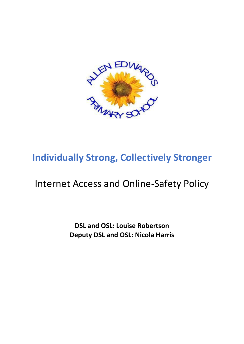

# Internet Access and Online-Safety Policy

**DSL and OSL: Louise Robertson Deputy DSL and OSL: Nicola Harris**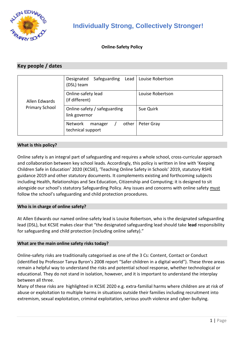

#### **Online-Safety Policy**

### **Key people / dates**

| Allen Edwards<br><b>Primary School</b> | Safeguarding Lead   Louise Robertson<br>Designated<br>(DSL) team |                  |
|----------------------------------------|------------------------------------------------------------------|------------------|
|                                        | Online-safety lead<br>(if different)                             | Louise Robertson |
|                                        | Online-safety / safeguarding<br>link governor                    | Sue Quirk        |
|                                        | other<br>Network<br>manager<br>technical support                 | Peter Gray       |

#### **What is this policy?**

Online safety is an integral part of safeguarding and requires a whole school, cross-curricular approach and collaboration between key school leads. Accordingly, this policy is written in line with 'Keeping Children Safe in Education' 2020 (KCSIE), 'Teaching Online Safety in Schools' 2019, statutory RSHE guidance 2019 and other statutory documents. It complements existing and forthcoming subjects including Health, Relationships and Sex Education, Citizenship and Computing; it is designed to sit alongside our school's statutory Safeguarding Policy. Any issues and concerns with online safety must follow the school's safeguarding and child protection procedures.

#### **Who is in charge of online safety?**

At Allen Edwards our named online-safety lead is Louise Robertson, who is the designated safeguarding lead (DSL), but KCSIE makes clear that "the designated safeguarding lead should take **lead** responsibility for safeguarding and child protection (including online safety)."

#### **What are the main online safety risks today?**

Online-safety risks are traditionally categorised as one of the 3 Cs: Content, Contact or Conduct (identified by Professor Tanya Byron's 2008 report "Safer children in a digital world"). These three areas remain a helpful way to understand the risks and potential school response, whether technological or educational. They do not stand in isolation, however, and it is important to understand the interplay between all three.

Many of these risks are highlighted in KCSIE 2020 e.g. extra-familial harms where children are at risk of abuse or exploitation to multiple harms in situations outside their families including recruitment into extremism, sexual exploitation, criminal exploitation, serious youth violence and cyber-bullying.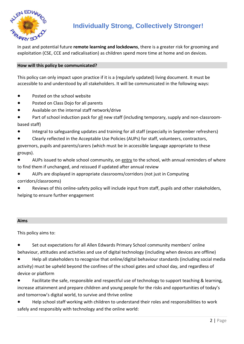

In past and potential future **remote learning and lockdowns**, there is a greater risk for grooming and exploitation (CSE, CCE and radicalisation) as children spend more time at home and on devices.

#### **How will this policy be communicated?**

This policy can only impact upon practice if it is a (regularly updated) living document. It must be accessible to and understood by all stakeholders. It will be communicated in the following ways:

- Posted on the school website
- Posted on Class Dojo for all parents
- Available on the internal staff network/drive
- Part of school induction pack for all new staff (including temporary, supply and non-classroombased staff)
- Integral to safeguarding updates and training for all staff (especially in September refreshers)
- Clearly reflected in the Acceptable Use Policies (AUPs) for staff, volunteers, contractors, governors, pupils and parents/carers (which must be in accessible language appropriate to these groups).
- AUPs issued to whole school community, on entry to the school, with annual reminders of where to find them if unchanged, and reissued if updated after annual review
- AUPs are displayed in appropriate classrooms/corridors (not just in Computing corridors/classrooms)
- Reviews of this online-safety policy will include input from staff, pupils and other stakeholders, helping to ensure further engagement

#### **Aims**

This policy aims to:

- Set out expectations for all Allen Edwards Primary School community members' online behaviour, attitudes and activities and use of digital technology (including when devices are offline)
- Help all stakeholders to recognise that online/digital behaviour standards (including social media activity) must be upheld beyond the confines of the school gates and school day, and regardless of device or platform
- Facilitate the safe, responsible and respectful use of technology to support teaching & learning, increase attainment and prepare children and young people for the risks and opportunities of today's and tomorrow's digital world, to survive and thrive online
- Help school staff working with children to understand their roles and responsibilities to work safely and responsibly with technology and the online world: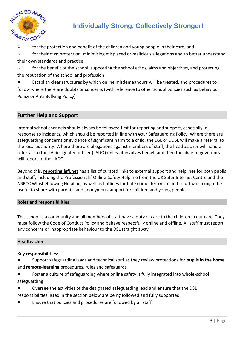

o for the protection and benefit of the children and young people in their care, and

 $\circ$  for their own protection, minimising misplaced or malicious allegations and to better understand their own standards and practice

 $\circ$  for the benefit of the school, supporting the school ethos, aims and objectives, and protecting the reputation of the school and profession

● Establish clear structures by which online misdemeanours will be treated, and procedures to follow where there are doubts or concerns (with reference to other school policies such as Behaviour Policy or Anti-Bullying Policy)

### **Further Help and Support**

Internal school channels should always be followed first for reporting and support, especially in response to incidents, which should be reported in line with your Safeguarding Policy. Where there are safeguarding concerns or evidence of significant harm to a child, the DSL or DDSL will make a referral to the local authority. Where there are allegations against members of staff, the headteacher will handle referrals to the LA designated officer (LADO) unless it involves herself and then the chair of governors will report to the LADO.

Beyond this, **[reporting.lgfl.net](https://reporting.lgfl.net/)** has a list of curated links to external support and helplines for both pupils and staff, including the Professionals' Online-Safety Helpline from the UK Safer Internet Centre and the NSPCC Whistleblowing Helpline, as well as hotlines for hate crime, terrorism and fraud which might be useful to share with parents, and anonymous support for children and young people.

#### **Roles and responsibilities**

This school is a community and all members of staff have a duty of care to the children in our care. They must follow the Code of Conduct Policy and behave respectfully online and offline. All staff must report any concerns or inappropriate behaviour to the DSL straight away.

#### **Headteacher**

#### **Key responsibilities:**

- Support safeguarding leads and technical staff as they review protections for **pupils in the home** and **remote-learning** procedures, rules and safeguards
- Foster a culture of safeguarding where online safety is fully integrated into whole-school safeguarding
- Oversee the activities of the designated safeguarding lead and ensure that the DSL responsibilities listed in the section below are being followed and fully supported
- Ensure that policies and procedures are followed by all staff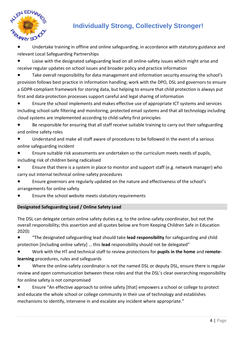

- Undertake training in offline and online safeguarding, in accordance with statutory guidance and relevant Local Safeguarding Partnerships
- Liaise with the designated safeguarding lead on all online-safety issues which might arise and receive regular updates on school issues and broader policy and practice information
- Take overall responsibility for data management and information security ensuring the school's provision follows best practice in information handling; work with the DPO, DSL and governors to ensure a GDPR-compliant framework for storing data, but helping to ensure that child protection is always put first and data-protection processes support careful and legal sharing of information
- Ensure the school implements and makes effective use of appropriate ICT systems and services including school-safe filtering and monitoring, protected email systems and that all technology including cloud systems are implemented according to child-safety first principles
- Be responsible for ensuring that all staff receive suitable training to carry out their safeguarding and online safety roles
- Understand and make all staff aware of procedures to be followed in the event of a serious online safeguarding incident
- Ensure suitable risk assessments are undertaken so the curriculum meets needs of pupils, including risk of children being radicalised
- Ensure that there is a system in place to monitor and support staff (e.g. network manager) who carry out internal technical online-safety procedures
- Ensure governors are regularly updated on the nature and effectiveness of the school's arrangements for online safety
- Ensure the school website meets statutory requirements

### **Designated Safeguarding Lead / Online Safety Lead**

The DSL can delegate certain online safety duties e.g. to the online-safety coordinator, but not the overall responsibility; this assertion and all quotes below are from Keeping Children Safe in Education 2020):

● "The designated safeguarding lead should take **lead responsibility** for safeguarding and child protection [including online safety] … this **lead** responsibility should not be delegated"

- Work with the HT and technical staff to review protections for **pupils in the home** and **remotelearning** procedures, rules and safeguards
- Where the online-safety coordinator is not the named DSL or deputy DSL, ensure there is regular review and open communication between these roles and that the DSL's clear overarching responsibility for online safety is not compromised
- Ensure "An effective approach to online safety [that] empowers a school or college to protect and educate the whole school or college community in their use of technology and establishes mechanisms to identify, intervene in and escalate any incident where appropriate."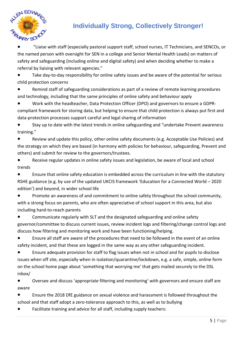

"Liaise with staff (especially pastoral support staff, school nurses, IT Technicians, and SENCOs, or the named person with oversight for SEN in a college and Senior Mental Health Leads) on matters of safety and safeguarding (including online and digital safety) and when deciding whether to make a referral by liaising with relevant agencies."

● Take day-to-day responsibility for online safety issues and be aware of the potential for serious child protection concerns

Remind staff of safeguarding considerations as part of a review of remote learning procedures and technology, including that the same principles of online safety and behaviour apply

Work with the headteacher, Data Protection Officer (DPO) and governors to ensure a GDPRcompliant framework for storing data, but helping to ensure that child protection is always put first and data-protection processes support careful and legal sharing of information

● Stay up to date with the latest trends in online safeguarding and "undertake Prevent awareness training."

Review and update this policy, other online safety documents (e.g. Acceptable Use Policies) and the strategy on which they are based (in harmony with policies for behaviour, safeguarding, Prevent and others) and submit for review to the governors/trustees.

● Receive regular updates in online safety issues and legislation, be aware of local and school trends

Ensure that online safety education is embedded across the curriculum in line with the statutory RSHE guidance (e.g. by use of the updated UKCIS framework 'Education for a Connected World – 2020 edition') and beyond, in wider school life

● Promote an awareness of and commitment to online safety throughout the school community, with a strong focus on parents, who are often appreciative of school support in this area, but also including hard-to-reach parents

Communicate regularly with SLT and the designated safeguarding and online safety governor/committee to discuss current issues, review incident logs and filtering/change control logs and discuss how filtering and monitoring work and have been functioning/helping.

● Ensure all staff are aware of the procedures that need to be followed in the event of an online safety incident, and that these are logged in the same way as any other safeguarding incident.

Ensure adequate provision for staff to flag issues when not in school and for pupils to disclose issues when off site, especially when in isolation/quarantine/lockdown, e.g. a safe, simple, online form on the school home page about 'something that worrying me' that gets mailed securely to the DSL inbox/

● Oversee and discuss 'appropriate filtering and monitoring' with governors and ensure staff are aware

Ensure the 2018 DfE guidance on sexual violence and harassment is followed throughout the school and that staff adopt a zero-tolerance approach to this, as well as to bullying

Facilitate training and advice for all staff, including supply teachers: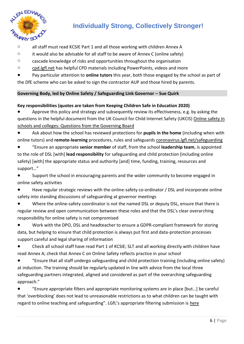

- o all staff must read KCSIE Part 1 and all those working with children Annex A
- $\circ$  it would also be advisable for all staff to be aware of Annex C (online safety)
- $\circ$  cascade knowledge of risks and opportunities throughout the organisation
- o [cpd.lgfl.net](http://cpd.lgfl.net/) has helpful CPD materials including PowerPoints, videos and more
- Pay particular attention to **online tutors** this year, both those engaged by the school as part of

the DfE scheme who can be asked to sign the contractor AUP and those hired by parents.

#### **Governing Body, led by Online Safety / Safeguarding Link Governor – Sue Quirk**

#### **Key responsibilities (quotes are taken from Keeping Children Safe in Education 2020)**

Approve this policy and strategy and subsequently review its effectiveness, e.g. by asking the questions in the helpful document from the UK Council for Child Internet Safety (UKCIS) [Online safety in](https://assets.publishing.service.gov.uk/government/uploads/system/uploads/attachment_data/file/562876/Guidance_for_School_Governors_-_Question_list.pdf)  [schools and colleges: Questions from the Governing Board](https://assets.publishing.service.gov.uk/government/uploads/system/uploads/attachment_data/file/562876/Guidance_for_School_Governors_-_Question_list.pdf)

Ask about how the school has reviewed protections for **pupils in the home** (including when with online tutors) and **remote-learning** procedures, rules and safeguards [coronavirus.lgfl.net/safeguarding](https://coronavirus.lgfl.net/safeguarding)

● "Ensure an appropriate **senior member** of staff, from the school **leadership team**, is appointed to the role of DSL [with] **lead responsibility** for safeguarding and child protection (including online safety) [with] the appropriate status and authority [and] time, funding, training, resources and support…"

Support the school in encouraging parents and the wider community to become engaged in online safety activities

- Have regular strategic reviews with the online-safety co-ordinator / DSL and incorporate online safety into standing discussions of safeguarding at governor meetings
- Where the online-safety coordinator is not the named DSL or deputy DSL, ensure that there is regular review and open communication between these roles and that the DSL's clear overarching responsibility for online safety is not compromised

Work with the DPO, DSL and headteacher to ensure a GDPR-compliant framework for storing data, but helping to ensure that child protection is always put first and data-protection processes support careful and legal sharing of information

Check all school staff have read Part 1 of KCSIE; SLT and all working directly with children have read Annex A; check that Annex C on Online Safety reflects practice in your school

"Ensure that all staff undergo safeguarding and child protection training (including online safety) at induction. The training should be regularly updated in line with advice from the local three safeguarding partners integrated, aligned and considered as part of the overarching safeguarding approach."

● "Ensure appropriate filters and appropriate monitoring systems are in place [but…] be careful that 'overblocking' does not lead to unreasonable restrictions as to what children can be taught with regard to online teaching and safeguarding". LGfL's appropriate filtering submission is [here](https://www.saferinternet.org.uk/advice-centre/teachers-and-school-staff/appropriate-filtering-and-monitoring/provider-responses)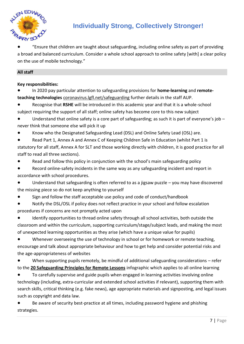

"Ensure that children are taught about safeguarding, including online safety as part of providing a broad and balanced curriculum. Consider a whole school approach to online safety [with] a clear policy on the use of mobile technology."

### **All staff**

**Key responsibilities:**

● In 2020 pay particular attention to safeguarding provisions for **home-learning** and **remoteteaching technologies** [coronavirus.lgfl.net/safeguarding](https://coronavirus.lgfl.net/safeguarding) further details in the staff AUP.

Recognise that RSHE will be introduced in this academic year and that it is a whole-school subject requiring the support of all staff; online safety has become core to this new subject

● Understand that online safety is a core part of safeguarding; as such it is part of everyone's job – never think that someone else will pick it up

Know who the Designated Safeguarding Lead (DSL) and Online Safety Lead (OSL) are.

Read Part 1, Annex A and Annex C of Keeping Children Safe in Education (whilst Part 1 is statutory for all staff, Annex A for SLT and those working directly with children, it is good practice for all staff to read all three sections).

Read and follow this policy in conjunction with the school's main safeguarding policy

● Record online-safety incidents in the same way as any safeguarding incident and report in accordance with school procedures.

● Understand that safeguarding is often referred to as a jigsaw puzzle – you may have discovered the missing piece so do not keep anything to yourself

Sign and follow the staff acceptable use policy and code of conduct/handbook

Notify the DSL/OSL if policy does not reflect practice in your school and follow escalation procedures if concerns are not promptly acted upon

Identify opportunities to thread online safety through all school activities, both outside the classroom and within the curriculum, supporting curriculum/stage/subject leads, and making the most of unexpected learning opportunities as they arise (which have a unique value for pupils)

● Whenever overseeing the use of technology in school or for homework or remote teaching, encourage and talk about appropriate behaviour and how to get help and consider potential risks and the age-appropriateness of websites

● When supporting pupils remotely, be mindful of additional safeguarding considerations – refer to the **[20 Safeguarding Principles for Remote Lessons](https://static.lgfl.net/LgflNet/downloads/digisafe/Safe-Lessons-by-Video-and-Livestream.pdf)** infographic which applies to all online learning

To carefully supervise and guide pupils when engaged in learning activities involving online technology (including, extra-curricular and extended school activities if relevant), supporting them with search skills, critical thinking (e.g. fake news), age appropriate materials and signposting, and legal issues such as copyright and data law.

Be aware of security best-practice at all times, including password hygiene and phishing strategies.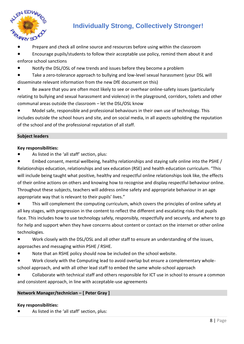

Prepare and check all online source and resources before using within the classroom

Encourage pupils/students to follow their acceptable use policy, remind them about it and enforce school sanctions

- Notify the DSL/OSL of new trends and issues before they become a problem
- Take a zero-tolerance approach to bullying and low-level sexual harassment (your DSL will disseminate relevant information from the new DfE document on this)
- Be aware that you are often most likely to see or overhear online-safety issues (particularly relating to bullying and sexual harassment and violence) in the playground, corridors, toilets and other communal areas outside the classroom – let the DSL/OSL know

● Model safe, responsible and professional behaviours in their own use of technology. This includes outside the school hours and site, and on social media, in all aspects upholding the reputation of the school and of the professional reputation of all staff.

#### **Subject leaders**

#### **Key responsibilities:**

As listed in the 'all staff' section, plus:

Embed consent, mental wellbeing, healthy relationships and staying safe online into the PSHE / Relationships education, relationships and sex education (RSE) and health education curriculum. "This will include being taught what positive, healthy and respectful online relationships look like, the effects of their online actions on others and knowing how to recognise and display respectful behaviour online. Throughout these subjects, teachers will address online safety and appropriate behaviour in an age appropriate way that is relevant to their pupils' lives."

● This will complement the computing curriculum, which covers the principles of online safety at all key stages, with progression in the content to reflect the different and escalating risks that pupils face. This includes how to use technology safely, responsibly, respectfully and securely, and where to go for help and support when they have concerns about content or contact on the internet or other online technologies.

- Work closely with the DSL/OSL and all other staff to ensure an understanding of the issues, approaches and messaging within PSHE / RSHE.
- Note that an RSHE policy should now be included on the school website.
- Work closely with the Computing lead to avoid overlap but ensure a complementary wholeschool approach, and with all other lead staff to embed the same whole-school approach
- Collaborate with technical staff and others responsible for ICT use in school to ensure a common and consistent approach, in line with acceptable-use agreements

#### **Network Manager/technician – [ Peter Gray ]**

#### **Key responsibilities:**

As listed in the 'all staff' section, plus: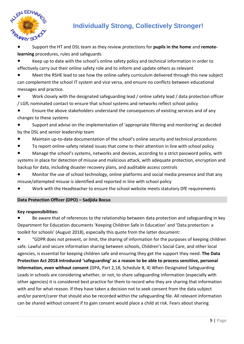

- Support the HT and DSL team as they review protections for **pupils in the home** and **remotelearning** procedures, rules and safeguards
- Keep up to date with the school's online safety policy and technical information in order to effectively carry out their online safety role and to inform and update others as relevant
- Meet the RSHE lead to see how the online-safety curriculum delivered through this new subject can complement the school IT system and vice versa, and ensure no conflicts between educational messages and practice.
- Work closely with the designated safeguarding lead / online safety lead / data protection officer / LGfL nominated contact to ensure that school systems and networks reflect school policy
- Ensure the above stakeholders understand the consequences of existing services and of any changes to these systems
- Support and advise on the implementation of 'appropriate filtering and monitoring' as decided by the DSL and senior leadership team
- Maintain up-to-date documentation of the school's online security and technical procedures
- To report online-safety related issues that come to their attention in line with school policy
- Manage the school's systems, networks and devices, according to a strict password policy, with systems in place for detection of misuse and malicious attack, with adequate protection, encryption and backup for data, including disaster recovery plans, and auditable access controls
- Monitor the use of school technology, online platforms and social media presence and that any misuse/attempted misuse is identified and reported in line with school policy
- Work with the Headteacher to ensure the school website meets statutory DfE requirements

### **Data Protection Officer (DPO) – Sadjida Bocus**

### **Key responsibilities:**

Be aware that of references to the relationship between data protection and safeguarding in key Department for Education documents 'Keeping Children Safe in Education' and 'Data protection: a toolkit for schools' (August 2018), especially this quote from the latter document:

● "GDPR does not prevent, or limit, the sharing of information for the purposes of keeping children safe. Lawful and secure information sharing between schools, Children's Social Care, and other local agencies, is essential for keeping children safe and ensuring they get the support they need. **The Data Protection Act 2018 introduced 'safeguarding' as a reason to be able to process sensitive, personal information, even without consent** (DPA, Part 2,18; Schedule 8, 4) When Designated Safeguarding Leads in schools are considering whether, or not, to share safeguarding information (especially with other agencies) it is considered best practice for them to record who they are sharing that information with and for what reason. If they have taken a decision not to seek consent from the data subject and/or parent/carer that should also be recorded within the safeguarding file. All relevant information can be shared without consent if to gain consent would place a child at risk. Fears about sharing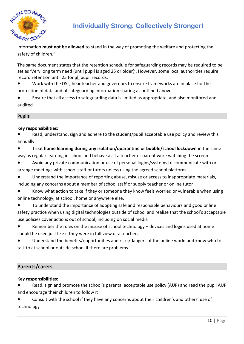

information **must not be allowed** to stand in the way of promoting the welfare and protecting the safety of children."

The same document states that the retention schedule for safeguarding records may be required to be set as 'Very long term need (until pupil is aged 25 or older)'. However, some local authorities require record retention until 25 for all pupil records.

● Work with the DSL, headteacher and governors to ensure frameworks are in place for the protection of data and of safeguarding information sharing as outlined above.

● Ensure that all access to safeguarding data is limited as appropriate, and also monitored and audited

#### **Pupils**

#### **Key responsibilities:**

Read, understand, sign and adhere to the student/pupil acceptable use policy and review this annually

● Treat **home learning during any isolation/quarantine or bubble/school lockdown** in the same way as regular learning in school and behave as if a teacher or parent were watching the screen

● Avoid any private communication or use of personal logins/systems to communicate with or arrange meetings with school staff or tutors unless using the agreed school platform.

- Understand the importance of reporting abuse, misuse or access to inappropriate materials, including any concerns about a member of school staff or supply teacher or online tutor
- Know what action to take if they or someone they know feels worried or vulnerable when using online technology, at school, home or anywhere else.
- To understand the importance of adopting safe and responsible behaviours and good online safety practice when using digital technologies outside of school and realise that the school's acceptable use policies cover actions out of school, including on social media

● Remember the rules on the misuse of school technology – devices and logins used at home should be used just like if they were in full view of a teacher.

Understand the benefits/opportunities and risks/dangers of the online world and know who to talk to at school or outside school if there are problems

### **Parents/carers**

**Key responsibilities:**

Read, sign and promote the school's parental acceptable use policy (AUP) and read the pupil AUP and encourage their children to follow it

Consult with the school if they have any concerns about their children's and others' use of technology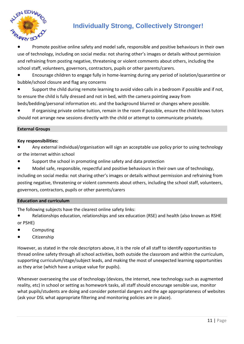

Promote positive online safety and model safe, responsible and positive behaviours in their own use of technology, including on social media: not sharing other's images or details without permission and refraining from posting negative, threatening or violent comments about others, including the school staff, volunteers, governors, contractors, pupils or other parents/carers.

● Encourage children to engage fully in home-learning during any period of isolation/quarantine or bubble/school closure and flag any concerns

● Support the child during remote learning to avoid video calls in a bedroom if possible and if not, to ensure the child is fully dressed and not in bed, with the camera pointing away from beds/bedding/personal information etc. and the background blurred or changes where possible.

● If organising private online tuition, remain in the room if possible, ensure the child knows tutors should not arrange new sessions directly with the child or attempt to communicate privately.

#### **External Groups**

#### **Key responsibilities:**

- Any external individual/organisation will sign an acceptable use policy prior to using technology or the internet within school
- Support the school in promoting online safety and data protection
- Model safe, responsible, respectful and positive behaviours in their own use of technology, including on social media: not sharing other's images or details without permission and refraining from posting negative, threatening or violent comments about others, including the school staff, volunteers,

governors, contractors, pupils or other parents/carers

#### **Education and curriculum**

The following subjects have the clearest online safety links:

- Relationships education, relationships and sex education (RSE) and health (also known as RSHE or PSHE)
- **Computing**
- Citizenship

However, as stated in the role descriptors above, it is the role of all staff to identify opportunities to thread online safety through all school activities, both outside the classroom and within the curriculum, supporting curriculum/stage/subject leads, and making the most of unexpected learning opportunities as they arise (which have a unique value for pupils).

Whenever overseeing the use of technology (devices, the internet, new technology such as augmented reality, etc) in school or setting as homework tasks, all staff should encourage sensible use, monitor what pupils/students are doing and consider potential dangers and the age appropriateness of websites (ask your DSL what appropriate filtering and monitoring policies are in place).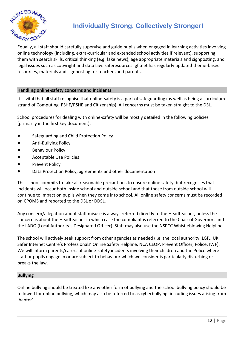

Equally, all staff should carefully supervise and guide pupils when engaged in learning activities involving online technology (including, extra-curricular and extended school activities if relevant), supporting them with search skills, critical thinking (e.g. fake news), age appropriate materials and signposting, and legal issues such as copyright and data law. [saferesources.lgfl.net](https://saferesources.lgfl.net/) has regularly updated theme-based resources, materials and signposting for teachers and parents.

#### **Handling online-safety concerns and incidents**

It is vital that all staff recognise that online-safety is a part of safeguarding (as well as being a curriculum strand of Computing, PSHE/RSHE and Citizenship). All concerns must be taken straight to the DSL.

School procedures for dealing with online-safety will be mostly detailed in the following policies (primarily in the first key document):

- Safeguarding and Child Protection Policy
- Anti-Bullying Policy
- Behaviour Policy
- Acceptable Use Policies
- Prevent Policy
- Data Protection Policy, agreements and other documentation

This school commits to take all reasonable precautions to ensure online safety, but recognises that incidents will occur both inside school and outside school and that those from outside school will continue to impact on pupils when they come into school. All online safety concerns must be recorded on CPOMS and reported to the DSL or DDSL.

Any concern/allegation about staff misuse is always referred directly to the Headteacher, unless the concern is about the Headteacher in which case the compliant is referred to the Chair of Governors and the LADO (Local Authority's Designated Officer). Staff may also use the NSPCC Whistleblowing Helpline.

The school will actively seek support from other agencies as needed (i.e. the local authority, LGfL, UK Safer Internet Centre's Professionals' Online Safety Helpline, NCA CEOP, Prevent Officer, Police, IWF). We will inform parents/carers of online-safety incidents involving their children and the Police where staff or pupils engage in or are subject to behaviour which we consider is particularly disturbing or breaks the law.

#### **Bullying**

Online bullying should be treated like any other form of bullying and the school bullying policy should be followed for online bullying, which may also be referred to as cyberbullying, including issues arising from 'banter'.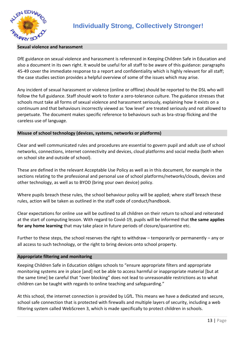

#### **Sexual violence and harassment**

DfE guidance on sexual violence and harassment is referenced in Keeping Children Safe in Education and also a document in its own right. It would be useful for all staff to be aware of this guidance: paragraphs 45-49 cover the immediate response to a report and confidentiality which is highly relevant for all staff; the case studies section provides a helpful overview of some of the issues which may arise.

Any incident of sexual harassment or violence (online or offline) should be reported to the DSL who will follow the full guidance. Staff should work to foster a zero-tolerance culture. The guidance stresses that schools must take all forms of sexual violence and harassment seriously, explaining how it exists on a continuum and that behaviours incorrectly viewed as 'low level' are treated seriously and not allowed to perpetuate. The document makes specific reference to behaviours such as bra-strap flicking and the careless use of language.

#### **Misuse of school technology (devices, systems, networks or platforms)**

Clear and well communicated rules and procedures are essential to govern pupil and adult use of school networks, connections, internet connectivity and devices, cloud platforms and social media (both when on school site and outside of school).

These are defined in the relevant Acceptable Use Policy as well as in this document, for example in the sections relating to the professional and personal use of school platforms/networks/clouds, devices and other technology, as well as to BYOD (bring your own device) policy.

Where pupils breach these rules, the school behaviour policy will be applied; where staff breach these rules, action will be taken as outlined in the staff code of conduct/handbook.

Clear expectations for online use will be outlined to all children on their return to school and reiterated at the start of computing lesson. With regard to Covid-19, pupils will be informed that **the same applies for any home learning** that may take place in future periods of closure/quarantine etc.

Further to these steps, the school reserves the right to withdraw – temporarily or permanently – any or all access to such technology, or the right to bring devices onto school property.

#### **Appropriate filtering and monitoring**

Keeping Children Safe in Education obliges schools to "ensure appropriate filters and appropriate monitoring systems are in place [and] not be able to access harmful or inappropriate material [but at the same time] be careful that "over blocking" does not lead to unreasonable restrictions as to what children can be taught with regards to online teaching and safeguarding."

At this school, the internet connection is provided by LGfL. This means we have a dedicated and secure, school safe connection that is protected with firewalls and multiple layers of security, including a web filtering system called WebScreen 3, which is made specifically to protect children in schools.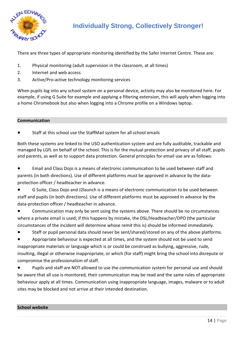

There are three types of appropriate monitoring identified by the Safer Internet Centre. These are:

- 1. Physical monitoring (adult supervision in the classroom, at all times)
- 2. Internet and web access
- 3. Active/Pro-active technology monitoring services

When pupils log into any school system on a personal device, activity may also be monitored here. For example, if using G Suite for example and applying a filtering extension, this will apply when logging into a home Chromebook but also when logging into a Chrome profile on a Windows laptop.

#### **Communication**

Staff at this school use the StaffMail system for all school emails

Both these systems are linked to the USO authentication system and are fully auditable, trackable and managed by LGfL on behalf of the school. This is for the mutual protection and privacy of all staff, pupils and parents, as well as to support data protection. General principles for email use are as follows:

● Email and Class Dojo is a means of electronic communication to be used between staff and parents (in both directions). Use of different platforms must be approved in advance by the dataprotection officer / headteacher in advance.

G Suite, Class Dojo and J2launch is a means of electronic communication to be used between staff and pupils (in both directions). Use of different platforms must be approved in advance by the data-protection officer / headteacher in advance.

● Communication may only be sent using the systems above. There should be no circumstances where a private email is used; if this happens by mistake, the DSL/Headteacher/DPO (the particular circumstances of the incident will determine whose remit this is) should be informed immediately.

● Staff or pupil personal data should never be sent/shared/stored on any of the above platforms.

Appropriate behaviour is expected at all times, and the system should not be used to send inappropriate materials or language which is or could be construed as bullying, aggressive, rude, insulting, illegal or otherwise inappropriate, or which (for staff) might bring the school into disrepute or compromise the professionalism of staff.

● Pupils and staff are NOT allowed to use the communication system for personal use and should be aware that all use is monitored, their communication may be read and the same rules of appropriate behaviour apply at all times. Communication using inappropriate language, images, malware or to adult sites may be blocked and not arrive at their intended destination.

#### **School website**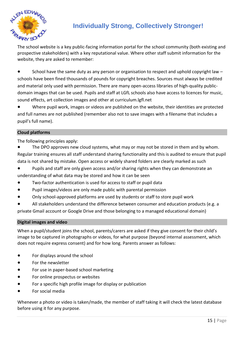

The school website is a key public-facing information portal for the school community (both existing and prospective stakeholders) with a key reputational value. Where other staff submit information for the website, they are asked to remember:

● School have the same duty as any person or organisation to respect and uphold copyright law – schools have been fined thousands of pounds for copyright breaches. Sources must always be credited and material only used with permission. There are many open-access libraries of high-quality publicdomain images that can be used. Pupils and staff at LGfL schools also have access to licences for music, sound effects, art collection images and other at curriculum.lgfl.net

Where pupil work, images or videos are published on the website, their identities are protected and full names are not published (remember also not to save images with a filename that includes a pupil's full name).

#### **Cloud platforms**

The following principles apply:

The DPO approves new cloud systems, what may or may not be stored in them and by whom. Regular training ensures all staff understand sharing functionality and this is audited to ensure that pupil data is not shared by mistake. Open access or widely shared folders are clearly marked as such

- Pupils and staff are only given access and/or sharing rights when they can demonstrate an understanding of what data may be stored and how it can be seen
- Two-factor authentication is used for access to staff or pupil data
- Pupil images/videos are only made public with parental permission
- Only school-approved platforms are used by students or staff to store pupil work
- All stakeholders understand the difference between consumer and education products (e.g. a

private Gmail account or Google Drive and those belonging to a managed educational domain)

#### **Digital images and video**

When a pupil/student joins the school, parents/carers are asked if they give consent for their child's image to be captured in photographs or videos, for what purpose (beyond internal assessment, which does not require express consent) and for how long. Parents answer as follows:

- For displays around the school
- For the newsletter
- For use in paper-based school marketing
- For online prospectus or websites
- For a specific high profile image for display or publication
- For social media

Whenever a photo or video is taken/made, the member of staff taking it will check the latest database before using it for any purpose.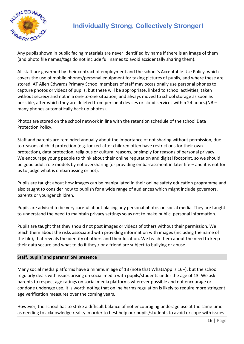

Any pupils shown in public facing materials are never identified by name if there is an image of them (and photo file names/tags do not include full names to avoid accidentally sharing them).

All staff are governed by their contract of employment and the school's Acceptable Use Policy, which covers the use of mobile phones/personal equipment for taking pictures of pupils, and where these are stored. AT Allen Edwards Primary School members of staff may occasionally use personal phones to capture photos or videos of pupils, but these will be appropriate, linked to school activities, taken without secrecy and not in a one-to-one situation, and always moved to school storage as soon as possible, after which they are deleted from personal devices or cloud services within 24 hours.(NB – many phones automatically back up photos).

Photos are stored on the school network in line with the retention schedule of the school Data Protection Policy.

Staff and parents are reminded annually about the importance of not sharing without permission, due to reasons of child protection (e.g. looked-after children often have restrictions for their own protection), data protection, religious or cultural reasons, or simply for reasons of personal privacy. We encourage young people to think about their online reputation and digital footprint, so we should be good adult role models by not oversharing (or providing embarrassment in later life – and it is not for us to judge what is embarrassing or not).

Pupils are taught about how images can be manipulated in their online safety education programme and also taught to consider how to publish for a wide range of audiences which might include governors, parents or younger children.

Pupils are advised to be very careful about placing any personal photos on social media. They are taught to understand the need to maintain privacy settings so as not to make public, personal information.

Pupils are taught that they should not post images or videos of others without their permission. We teach them about the risks associated with providing information with images (including the name of the file), that reveals the identity of others and their location. We teach them about the need to keep their data secure and what to do if they / or a friend are subject to bullying or abuse.

#### **Staff, pupils' and parents' SM presence**

Many social media platforms have a minimum age of 13 (note that WhatsApp is 16+), but the school regularly deals with issues arising on social media with pupils/students under the age of 13. We ask parents to respect age ratings on social media platforms wherever possible and not encourage or condone underage use. It is worth noting that online harms regulation is likely to require more stringent age verification measures over the coming years.

However, the school has to strike a difficult balance of not encouraging underage use at the same time as needing to acknowledge reality in order to best help our pupils/students to avoid or cope with issues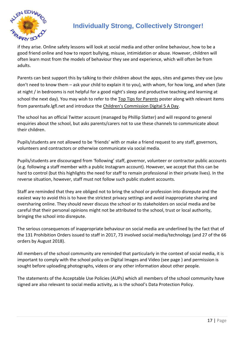

if they arise. Online safety lessons will look at social media and other online behaviour, how to be a good friend online and how to report bullying, misuse, intimidation or abuse. However, children will often learn most from the models of behaviour they see and experience, which will often be from adults.

Parents can best support this by talking to their children about the apps, sites and games they use (you don't need to know them – ask your child to explain it to you), with whom, for how long, and when (late at night / in bedrooms is not helpful for a good night's sleep and productive teaching and learning at school the next day). You may wish to refer to the [Top Tips for Parents](https://static.lgfl.net/LgflNet/downloads/digisafe/Parent-Top-Tips-Safe-Online-Corona.pdf) poster along with relevant items from parentsafe.lgfl.net and introduce the [Children's Commission Digital 5 A Day](https://www.childrenscommissioner.gov.uk/our-work/digital/5-a-day/).

The school has an official Twitter account (managed by Phillip Slatter) and will respond to general enquiries about the school, but asks parents/carers not to use these channels to communicate about their children.

Pupils/students are not allowed to be 'friends' with or make a friend request to any staff, governors, volunteers and contractors or otherwise communicate via social media.

Pupils/students are discouraged from 'following' staff, governor, volunteer or contractor public accounts (e.g. following a staff member with a public Instagram account). However, we accept that this can be hard to control (but this highlights the need for staff to remain professional in their private lives). In the reverse situation, however, staff must not follow such public student accounts.

Staff are reminded that they are obliged not to bring the school or profession into disrepute and the easiest way to avoid this is to have the strictest privacy settings and avoid inappropriate sharing and oversharing online. They should never discuss the school or its stakeholders on social media and be careful that their personal opinions might not be attributed to the school, trust or local authority, bringing the school into disrepute.

The serious consequences of inappropriate behaviour on social media are underlined by the fact that of the 131 Prohibition Orders issued to staff in 2017, 73 involved social media/technology (and 27 of the 66 orders by August 2018).

All members of the school community are reminded that particularly in the context of social media, it is important to comply with the school policy on Digital Images and Video (see page ) and permission is sought before uploading photographs, videos or any other information about other people.

The statements of the Acceptable Use Policies (AUPs) which all members of the school community have signed are also relevant to social media activity, as is the school's Data Protection Policy.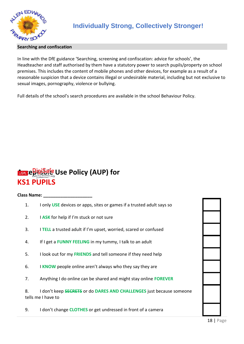

#### **Searching and confiscation**

In line with the DfE guidance 'Searching, screening and confiscation: advice for schools', the Headteacher and staff authorised by them have a statutory power to search pupils/property on school premises. This includes the content of mobile phones and other devices, for example as a result of a reasonable suspicion that a device contains illegal or undesirable material, including but not exclusive to sexual images, pornography, violence or bullying.

Full details of the school's search procedures are available in the school Behaviour Policy.

# **Acceptable Use Policy (AUP) for KS1 PUPILS**

#### **Class Name: \_\_\_\_\_\_\_\_\_\_\_\_\_\_\_\_\_\_\_\_**

- 1. I only **USE** devices or apps, sites or games if a trusted adult says so
- 2. I **ASK** for help if I'm stuck or not sure
- 3. I **TELL** a trusted adult if I'm upset, worried, scared or confused
- 4. If I get a **FUNNY FEELING** in my tummy, I talk to an adult
- 5. I look out for my **FRIENDS** and tell someone if they need help
- 6. I **KNOW** people online aren't always who they say they are
- 7. Anything I do online can be shared and might stay online **FOREVER**

8. I don't keep **SECRETS** or do **DARES AND CHALLENGES** just because someone tells me I have to

9. I don't change **CLOTHES** or get undressed in front of a camera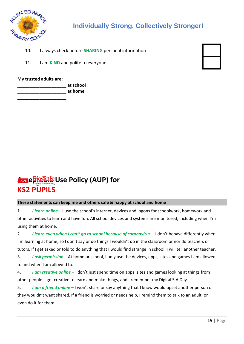

- 10. I always check before **SHARING** personal information
- 11. I am **KIND** and polite to everyone

#### **My trusted adults are:**

**\_\_\_\_\_\_\_\_\_\_\_\_\_\_\_\_\_\_\_\_ at school \_\_\_\_\_\_\_\_\_\_\_\_\_\_\_\_\_\_\_\_ at home**

**\_\_\_\_\_\_\_\_\_\_\_\_\_\_\_\_\_\_\_\_**

# **Acceptable Use Policy (AUP) for KS2 PUPILS**

#### **These statements can keep me and others safe & happy at school and home**

1. *I learn online* – I use the school's internet, devices and logons for schoolwork, homework and other activities to learn and have fun. All school devices and systems are monitored, including when I'm using them at home.

2. *I learn even when I can't go to school because of coronavirus* – I don't behave differently when I'm learning at home, so I don't say or do things I wouldn't do in the classroom or nor do teachers or tutors. If I get asked or told to do anything that I would find strange in school, I will tell another teacher.

3. *I ask permission* – At home or school, I only use the devices, apps, sites and games I am allowed to and when I am allowed to.

4. *I am creative online* – I don't just spend time on apps, sites and games looking at things from other people. I get creative to learn and make things, and I remember my Digital 5 A Day.

5. *I am a friend online* – I won't share or say anything that I know would upset another person or they wouldn't want shared. If a friend is worried or needs help, I remind them to talk to an adult, or even do it for them.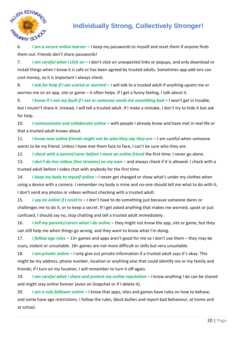

6. *I am a secure online learner* – I keep my passwords to myself and reset them if anyone finds them out. Friends don't share passwords!

7. *I am careful what I click on* – I don't click on unexpected links or popups, and only download or install things when I know it is safe or has been agreed by trusted adults. Sometimes app add-ons can cost money, so it is important I always check.

8. *I ask for help if I am scared or worried* – I will talk to a trusted adult if anything upsets me or worries me on an app, site or game – it often helps. If I get a funny feeling, I talk about it.

9. *I know it's not my fault if I see or someone sends me something bad* – I won't get in trouble, but I mustn't share it. Instead, I will tell a trusted adult. If I make a mistake, I don't try to hide it but ask for help.

10. *I communicate and collaborate online* – with people I already know and have met in real life or that a trusted adult knows about.

11. *I know new online friends might not be who they say they are* – I am careful when someone wants to be my friend. Unless I have met them face to face, I can't be sure who they are.

12. *I check with a parent/carer before I meet an online friend* the first time; I never go alone.

13. *I don't do live videos (live streams) on my own* – and always check if it is allowed. I check with a trusted adult before I video chat with anybody for the first time.

14. *I keep my body to myself online* – I never get changed or show what's under my clothes when using a device with a camera. I remember my body is mine and no-one should tell me what to do with it; I don't send any photos or videos without checking with a trusted adult.

15. *I say no online if I need to* – I don't have to do something just because someone dares or challenges me to do it, or to keep a secret. If I get asked anything that makes me worried, upset or just confused, I should say no, stop chatting and tell a trusted adult immediately.

16. *I tell my parents/carers what I do online* – they might not know the app, site or game, but they can still help me when things go wrong, and they want to know what I'm doing.

17. *I follow age rules* – 13+ games and apps aren't good for me so I don't use them – they may be scary, violent or unsuitable. 18+ games are not more difficult or skills but very unsuitable.

18. *I am private online* – I only give out private information if a trusted adult says it's okay. This might be my address, phone number, location or anything else that could identify me or my family and friends; if I turn on my location, I will remember to turn it off again.

19. *I am careful what I share and protect my online reputation* – I know anything I do can be shared and might stay online forever (even on Snapchat or if I delete it).

20. *I am a rule-follower online* – I know that apps, sites and games have rules on how to behave, and some have age restrictions. I follow the rules, block bullies and report bad behaviour, at home and at school.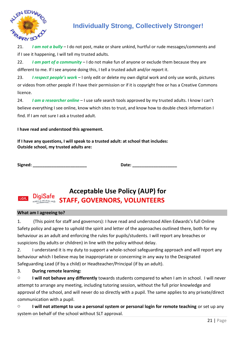

21. *I am not a bully* – I do not post, make or share unkind, hurtful or rude messages/comments and if I see it happening, I will tell my trusted adults.

22. *I am part of a community* – I do not make fun of anyone or exclude them because they are different to me. If I see anyone doing this, I tell a trusted adult and/or report it.

23. *I respect people's work* – I only edit or delete my own digital work and only use words, pictures or videos from other people if I have their permission or if it is copyright free or has a Creative Commons licence.

24. *I am a researcher online* – I use safe search tools approved by my trusted adults. I know I can't believe everything I see online, know which sites to trust, and know how to double check information I find. If I am not sure I ask a trusted adult.

**I have read and understood this agreement.**

**If I have any questions, I will speak to a trusted adult: at school that includes: Outside school, my trusted adults are:** 

Signed: **Date: Date: Date: Date: Date: Date: Date: Date: Date: Date: Date: Date: Date: Date: Date: Date: Date: Date: Date: Date: Date: Date: Date: Date: Date: Date: Date:** 

### **Acceptable Use Policy (AUP) for** LGfL **STAFF, GOVERNORS, VOLUNTEERS**

#### **What am I agreeing to?**

1. (This point for staff and governors): I have read and understood Allen Edwards's full Online Safety policy and agree to uphold the spirit and letter of the approaches outlined there, both for my behaviour as an adult and enforcing the rules for pupils/students. I will report any breaches or suspicions (by adults or children) in line with the policy without delay.

2. I understand it is my duty to support a whole-school safeguarding approach and will report any behaviour which I believe may be inappropriate or concerning in any way to the Designated Safeguarding Lead (if by a child) or Headteacher/Principal (if by an adult).

### 3. **During remote learning:**

o **I will not behave any differently** towards students compared to when I am in school. I will never attempt to arrange any meeting, including tutoring session, without the full prior knowledge and approval of the school, and will never do so directly with a pupil. The same applies to any private/direct communication with a pupil.

o **I will not attempt to use a personal system or personal login for remote teaching** or set up any system on behalf of the school without SLT approval.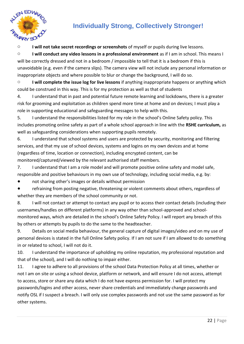

o **I will not take secret recordings or screenshots** of myself or pupils during live lessons.

o **I will conduct any video lessons in a professional environment** as if I am in school. This means I will be correctly dressed and not in a bedroom / impossible to tell that it is a bedroom if this is unavoidable (e.g. even if the camera slips). The camera view will not include any personal information or inappropriate objects and where possible to blur or change the background, I will do so.

o **I will complete the issue log for live lessons** if anything inappropriate happens or anything which could be construed in this way. This is for my protection as well as that of students

4. I understand that in past and potential future remote learning and lockdowns, there is a greater risk for grooming and exploitation as children spend more time at home and on devices; I must play a role in supporting educational and safeguarding messages to help with this.

5. I understand the responsibilities listed for my role in the school's Online Safety policy. This includes promoting online safety as part of a whole school approach in line with the **RSHE curriculum,** as well as safeguarding considerations when supporting pupils remotely.

6. I understand that school systems and users are protected by security, monitoring and filtering services, and that my use of school devices, systems and logins on my own devices and at home (regardless of time, location or connection), including encrypted content, can be monitored/captured/viewed by the relevant authorised staff members.

7. I understand that I am a role model and will promote positive online safety and model safe, responsible and positive behaviours in my own use of technology, including social media, e.g. by:

● not sharing other's images or details without permission

refraining from posting negative, threatening or violent comments about others, regardless of whether they are members of the school community or not.

8. I will not contact or attempt to contact any pupil or to access their contact details (including their usernames/handles on different platforms) in any way other than school-approved and schoolmonitored ways, which are detailed in the school's Online Safety Policy. I will report any breach of this by others or attempts by pupils to do the same to the headteacher.

9. Details on social media behaviour, the general capture of digital images/video and on my use of personal devices is stated in the full Online Safety policy. If I am not sure if I am allowed to do something in or related to school, I will not do it.

10. I understand the importance of upholding my online reputation, my professional reputation and that of the school), and I will do nothing to impair either.

11. I agree to adhere to all provisions of the school Data Protection Policy at all times, whether or not I am on site or using a school device, platform or network, and will ensure I do not access, attempt to access, store or share any data which I do not have express permission for. I will protect my passwords/logins and other access, never share credentials and immediately change passwords and notify OSL if I suspect a breach. I will only use complex passwords and not use the same password as for other systems.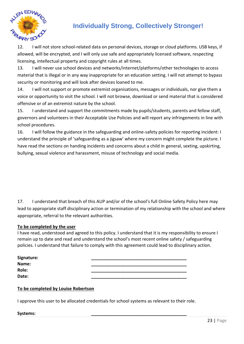

12. I will not store school-related data on personal devices, storage or cloud platforms. USB keys, if allowed, will be encrypted, and I will only use safe and appropriately licensed software, respecting licensing, intellectual property and copyright rules at all times.

13. I will never use school devices and networks/internet/platforms/other technologies to access material that is illegal or in any way inappropriate for an education setting. I will not attempt to bypass security or monitoring and will look after devices loaned to me.

14. I will not support or promote extremist organisations, messages or individuals, nor give them a voice or opportunity to visit the school. I will not browse, download or send material that is considered offensive or of an extremist nature by the school.

15. I understand and support the commitments made by pupils/students, parents and fellow staff, governors and volunteers in their Acceptable Use Policies and will report any infringements in line with school procedures.

16. I will follow the guidance in the safeguarding and online-safety policies for reporting incident: I understand the principle of 'safeguarding as a jigsaw' where my concern might complete the picture. I have read the sections on handing incidents and concerns about a child in general, sexting, upskirting, bullying, sexual violence and harassment, misuse of technology and social media.

17. I understand that breach of this AUP and/or of the school's full Online Safety Policy here may lead to appropriate staff disciplinary action or termination of my relationship with the school and where appropriate, referral to the relevant authorities.

#### **To be completed by the user**

I have read, understood and agreed to this policy. I understand that it is my responsibility to ensure I remain up to date and read and understand the school's most recent online safety / safeguarding policies. I understand that failure to comply with this agreement could lead to disciplinary action.

| Signature: |  |
|------------|--|
| Name:      |  |
| Role:      |  |
| Date:      |  |

#### **To be completed by Louise Robertson**

I approve this user to be allocated credentials for school systems as relevant to their role.

#### **Systems: \_\_\_\_\_\_\_\_\_\_\_\_\_\_\_\_\_\_\_\_\_\_\_\_\_\_\_\_\_\_\_\_\_\_\_\_\_\_\_**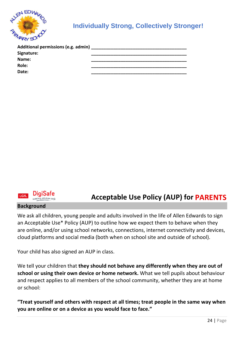

| Additional permissions (e.g. admin) |  |
|-------------------------------------|--|
| <b>Signature:</b>                   |  |
| Name:                               |  |
| Role:                               |  |
| Date:                               |  |



### **Acceptable Use Policy (AUP) for PARENTS**

#### **Background**

We ask all children, young people and adults involved in the life of Allen Edwards to sign an Acceptable Use\* Policy (AUP) to outline how we expect them to behave when they are online, and/or using school networks, connections, internet connectivity and devices, cloud platforms and social media (both when on school site and outside of school).

Your child has also signed an AUP in class.

We tell your children that **they should not behave any differently when they are out of school or using their own device or home network.** What we tell pupils about behaviour and respect applies to all members of the school community, whether they are at home or school:

**"Treat yourself and others with respect at all times; treat people in the same way when you are online or on a device as you would face to face."**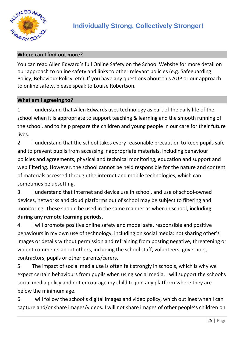

### **Where can I find out more?**

You can read Allen Edward's full Online Safety on the School Website for more detail on our approach to online safety and links to other relevant policies (e.g. Safeguarding Policy, Behaviour Policy, etc). If you have any questions about this AUP or our approach to online safety, please speak to Louise Robertson.

### **What am I agreeing to?**

1. I understand that Allen Edwards uses technology as part of the daily life of the school when it is appropriate to support teaching & learning and the smooth running of the school, and to help prepare the children and young people in our care for their future lives.

2. I understand that the school takes every reasonable precaution to keep pupils safe and to prevent pupils from accessing inappropriate materials, including behaviour policies and agreements, physical and technical monitoring, education and support and web filtering. However, the school cannot be held responsible for the nature and content of materials accessed through the internet and mobile technologies, which can sometimes be upsetting.

3. I understand that internet and device use in school, and use of school-owned devices, networks and cloud platforms out of school may be subject to filtering and monitoring. These should be used in the same manner as when in school, **including during any remote learning periods.**

4. I will promote positive online safety and model safe, responsible and positive behaviours in my own use of technology, including on social media: not sharing other's images or details without permission and refraining from posting negative, threatening or violent comments about others, including the school staff, volunteers, governors, contractors, pupils or other parents/carers.

5. The impact of social media use is often felt strongly in schools, which is why we expect certain behaviours from pupils when using social media. I will support the school's social media policy and not encourage my child to join any platform where they are below the minimum age.

6. I will follow the school's digital images and video policy, which outlines when I can capture and/or share images/videos. I will not share images of other people's children on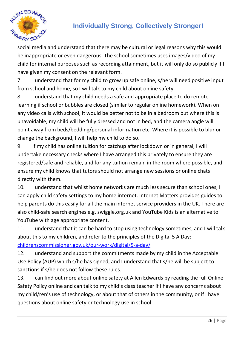

social media and understand that there may be cultural or legal reasons why this would be inappropriate or even dangerous. The school sometimes uses images/video of my child for internal purposes such as recording attainment, but it will only do so publicly if I have given my consent on the relevant form.

7. I understand that for my child to grow up safe online, s/he will need positive input from school and home, so I will talk to my child about online safety.

8. I understand that my child needs a safe and appropriate place to do remote learning if school or bubbles are closed (similar to regular online homework). When on any video calls with school, it would be better not to be in a bedroom but where this is unavoidable, my child will be fully dressed and not in bed, and the camera angle will point away from beds/bedding/personal information etc. Where it is possible to blur or change the background, I will help my child to do so.

9. If my child has online tuition for catchup after lockdown or in general, I will undertake necessary checks where I have arranged this privately to ensure they are registered/safe and reliable, and for any tuition remain in the room where possible, and ensure my child knows that tutors should not arrange new sessions or online chats directly with them.

10. I understand that whilst home networks are much less secure than school ones, I can apply child safety settings to my home internet. Internet Matters provides guides to help parents do this easily for all the main internet service providers in the UK. There are also child-safe search engines e.g. swiggle.org.uk and YouTube Kids is an alternative to YouTube with age appropriate content.

11. I understand that it can be hard to stop using technology sometimes, and I will talk about this to my children, and refer to the principles of the Digital 5 A Day: [childrenscommissioner.gov.uk/our-work/digital/5-a-day/](https://www.childrenscommissioner.gov.uk/our-work/digital/5-a-day/)

12. I understand and support the commitments made by my child in the Acceptable Use Policy (AUP) which s/he has signed, and I understand that s/he will be subject to sanctions if s/he does not follow these rules.

13. I can find out more about online safety at Allen Edwards by reading the full Online Safety Policy online and can talk to my child's class teacher if I have any concerns about my child/ren's use of technology, or about that of others in the community, or if I have questions about online safety or technology use in school.